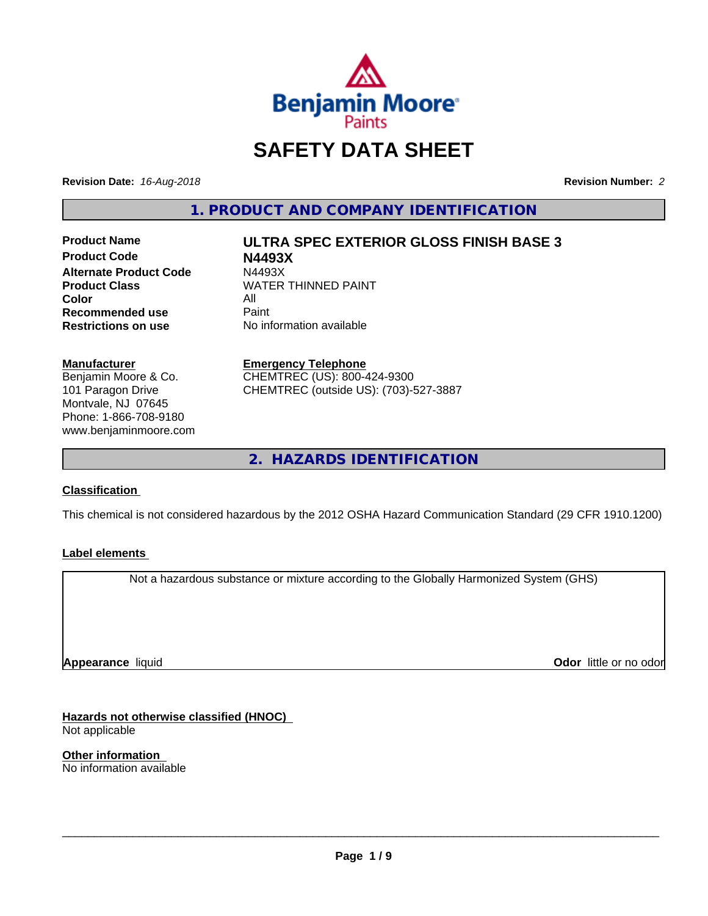

# **SAFETY DATA SHEET**

**Revision Date:** *16-Aug-2018* **Revision Number:** *2*

**1. PRODUCT AND COMPANY IDENTIFICATION**

**Product Code N4493X Alternate Product Code M4493X<br>Product Class NATER Color** All All<br>**Recommended use** Paint **Recommended use**<br>Restrictions on use

**Product Name ULTRA SPEC EXTERIOR GLOSS FINISH BASE 3**

**WATER THINNED PAINT No information available** 

**Manufacturer**

Benjamin Moore & Co. 101 Paragon Drive Montvale, NJ 07645 Phone: 1-866-708-9180 www.benjaminmoore.com

#### **Emergency Telephone**

CHEMTREC (US): 800-424-9300 CHEMTREC (outside US): (703)-527-3887

**2. HAZARDS IDENTIFICATION**

#### **Classification**

This chemical is not considered hazardous by the 2012 OSHA Hazard Communication Standard (29 CFR 1910.1200)

#### **Label elements**

Not a hazardous substance or mixture according to the Globally Harmonized System (GHS)

**Appearance** liquid

**Odor** little or no odor

**Hazards not otherwise classified (HNOC)** Not applicable

**Other information** No information available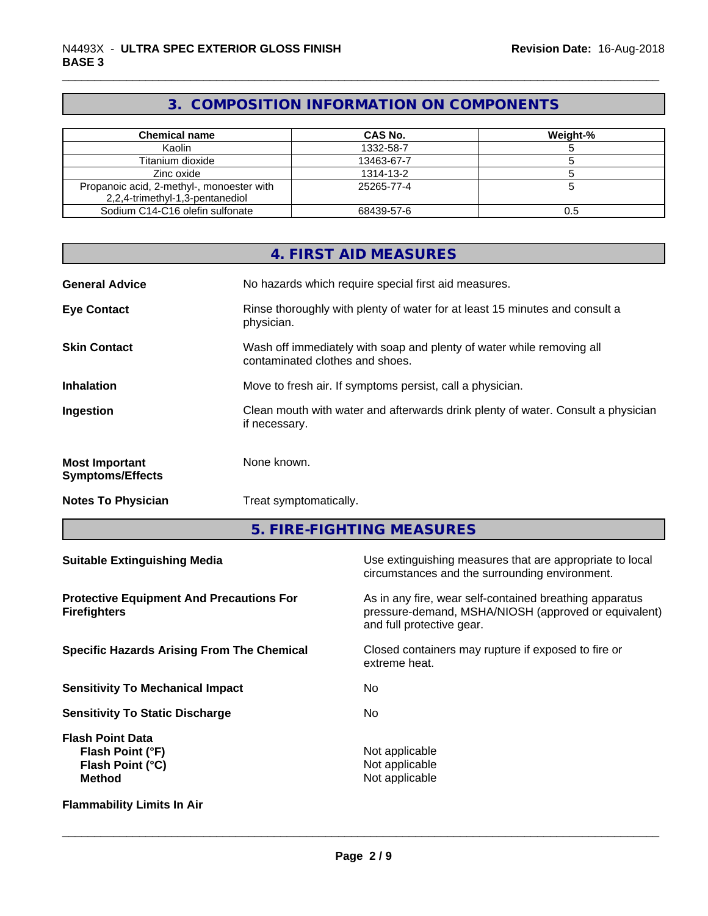# **3. COMPOSITION INFORMATION ON COMPONENTS**

| <b>Chemical name</b>                                                         | CAS No.    | Weight-% |
|------------------------------------------------------------------------------|------------|----------|
| Kaolin                                                                       | 1332-58-7  |          |
| Titanium dioxide                                                             | 13463-67-7 |          |
| Zinc oxide                                                                   | 1314-13-2  |          |
| Propanoic acid, 2-methyl-, monoester with<br>2,2,4-trimethyl-1,3-pentanediol | 25265-77-4 |          |
| Sodium C14-C16 olefin sulfonate                                              | 68439-57-6 | 0.5      |

|                                                                                  |                                 | <b>4. FIRST AID MEASURES</b>                                                                                                                 |
|----------------------------------------------------------------------------------|---------------------------------|----------------------------------------------------------------------------------------------------------------------------------------------|
| <b>General Advice</b>                                                            |                                 | No hazards which require special first aid measures.                                                                                         |
| <b>Eye Contact</b>                                                               | physician.                      | Rinse thoroughly with plenty of water for at least 15 minutes and consult a                                                                  |
| <b>Skin Contact</b>                                                              | contaminated clothes and shoes. | Wash off immediately with soap and plenty of water while removing all                                                                        |
| <b>Inhalation</b>                                                                |                                 | Move to fresh air. If symptoms persist, call a physician.                                                                                    |
| Ingestion                                                                        | if necessary.                   | Clean mouth with water and afterwards drink plenty of water. Consult a physician                                                             |
| <b>Most Important</b><br><b>Symptoms/Effects</b>                                 | None known.                     |                                                                                                                                              |
| <b>Notes To Physician</b>                                                        | Treat symptomatically.          |                                                                                                                                              |
|                                                                                  |                                 | 5. FIRE-FIGHTING MEASURES                                                                                                                    |
| <b>Suitable Extinguishing Media</b>                                              |                                 | Use extinguishing measures that are appropriate to local<br>circumstances and the surrounding environment.                                   |
| <b>Protective Equipment And Precautions For</b><br><b>Firefighters</b>           |                                 | As in any fire, wear self-contained breathing apparatus<br>pressure-demand, MSHA/NIOSH (approved or equivalent)<br>and full protective gear. |
| <b>Specific Hazards Arising From The Chemical</b>                                |                                 | Closed containers may rupture if exposed to fire or<br>extreme heat.                                                                         |
| <b>Sensitivity To Mechanical Impact</b>                                          |                                 | No                                                                                                                                           |
| <b>Sensitivity To Static Discharge</b>                                           |                                 | No                                                                                                                                           |
| <b>Flash Point Data</b><br>Flash Point (°F)<br>Flash Point (°C)<br><b>Method</b> |                                 | Not applicable<br>Not applicable<br>Not applicable                                                                                           |

**Flammability Limits In Air**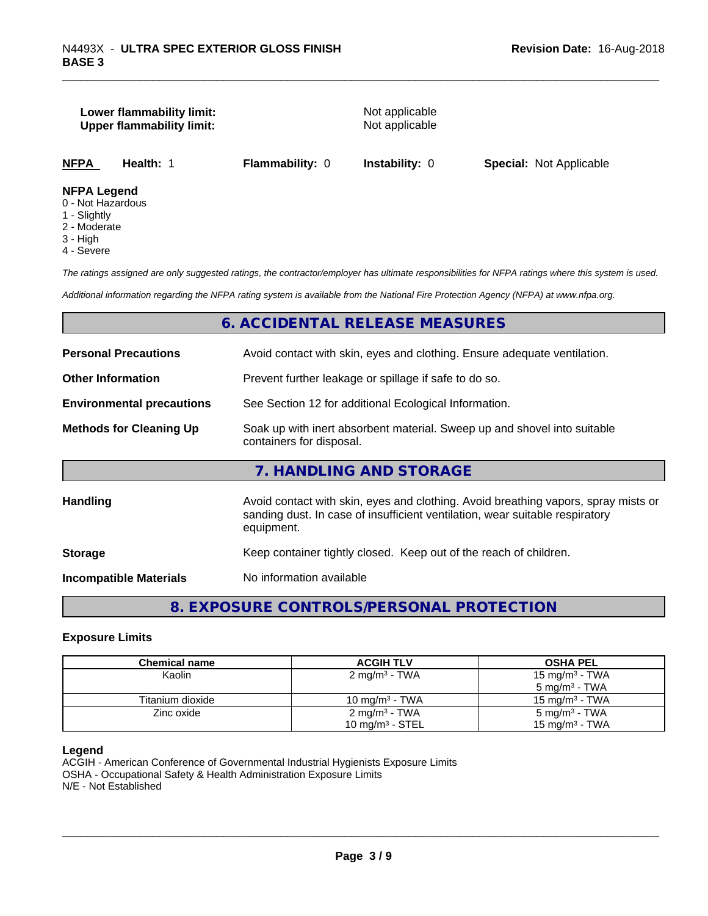#### **Lower flammability limit:** Not applicable **Upper flammability limit:** Not applicable

**NFPA Health:** 1 **Flammability:** 0 **Instability:** 0 **Special:** Not Applicable

#### **NFPA Legend**

- 0 Not Hazardous
- 1 Slightly
- 2 Moderate
- 3 High
- 4 Severe

*The ratings assigned are only suggested ratings, the contractor/employer has ultimate responsibilities for NFPA ratings where this system is used.*

*Additional information regarding the NFPA rating system is available from the National Fire Protection Agency (NFPA) at www.nfpa.org.*

#### **6. ACCIDENTAL RELEASE MEASURES**

| <b>Personal Precautions</b>      | Avoid contact with skin, eyes and clothing. Ensure adequate ventilation.                                                                                                         |  |
|----------------------------------|----------------------------------------------------------------------------------------------------------------------------------------------------------------------------------|--|
| <b>Other Information</b>         | Prevent further leakage or spillage if safe to do so.                                                                                                                            |  |
| <b>Environmental precautions</b> | See Section 12 for additional Ecological Information.                                                                                                                            |  |
| <b>Methods for Cleaning Up</b>   | Soak up with inert absorbent material. Sweep up and shovel into suitable<br>containers for disposal.                                                                             |  |
|                                  | 7. HANDLING AND STORAGE                                                                                                                                                          |  |
| <b>Handling</b>                  | Avoid contact with skin, eyes and clothing. Avoid breathing vapors, spray mists or<br>sanding dust. In case of insufficient ventilation, wear suitable respiratory<br>equipment. |  |
| <b>Storage</b>                   | Keep container tightly closed. Keep out of the reach of children.                                                                                                                |  |
| <b>Incompatible Materials</b>    | No information available                                                                                                                                                         |  |
|                                  |                                                                                                                                                                                  |  |

# **8. EXPOSURE CONTROLS/PERSONAL PROTECTION**

#### **Exposure Limits**

| <b>Chemical name</b> | <b>ACGIH TLV</b>          | <b>OSHA PEL</b>            |
|----------------------|---------------------------|----------------------------|
| Kaolin               | $2 \text{ mg/m}^3$ - TWA  | 15 mg/m <sup>3</sup> - TWA |
|                      |                           | $5 \text{ ma/m}^3$ - TWA   |
| Titanium dioxide     | 10 mg/m $3$ - TWA         | $15 \text{ ma/m}^3$ - TWA  |
| Zinc oxide           | 2 mg/m <sup>3</sup> - TWA | 5 mg/m <sup>3</sup> - TWA  |
|                      | 10 mg/m $3$ - STEL        | 15 mg/m $3$ - TWA          |

#### **Legend**

ACGIH - American Conference of Governmental Industrial Hygienists Exposure Limits OSHA - Occupational Safety & Health Administration Exposure Limits N/E - Not Established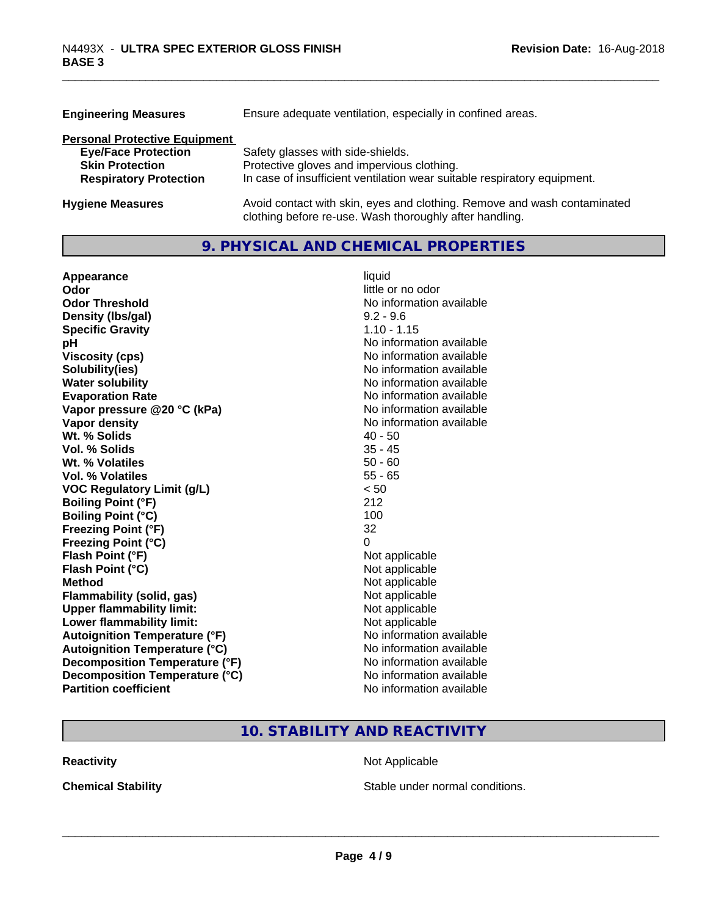| <b>Engineering Measures</b>          | Ensure adequate ventilation, especially in confined areas.                                                                          |
|--------------------------------------|-------------------------------------------------------------------------------------------------------------------------------------|
| <b>Personal Protective Equipment</b> |                                                                                                                                     |
| <b>Eye/Face Protection</b>           | Safety glasses with side-shields.                                                                                                   |
| <b>Skin Protection</b>               | Protective gloves and impervious clothing.                                                                                          |
| <b>Respiratory Protection</b>        | In case of insufficient ventilation wear suitable respiratory equipment.                                                            |
| <b>Hygiene Measures</b>              | Avoid contact with skin, eyes and clothing. Remove and wash contaminated<br>clothing before re-use. Wash thoroughly after handling. |

# **9. PHYSICAL AND CHEMICAL PROPERTIES**

| Appearance                           | liquid                   |
|--------------------------------------|--------------------------|
| Odor                                 | little or no odor        |
| <b>Odor Threshold</b>                | No information available |
| Density (Ibs/gal)                    | $9.2 - 9.6$              |
| <b>Specific Gravity</b>              | $1.10 - 1.15$            |
| pH                                   | No information available |
| <b>Viscosity (cps)</b>               | No information available |
| Solubility(ies)                      | No information available |
| <b>Water solubility</b>              | No information available |
| <b>Evaporation Rate</b>              | No information available |
| Vapor pressure @20 °C (kPa)          | No information available |
| Vapor density                        | No information available |
| Wt. % Solids                         | $40 - 50$                |
| Vol. % Solids                        | $35 - 45$                |
| Wt. % Volatiles                      | $50 - 60$                |
| Vol. % Volatiles                     | $55 - 65$                |
| <b>VOC Regulatory Limit (g/L)</b>    | < 50                     |
| <b>Boiling Point (°F)</b>            | 212                      |
| <b>Boiling Point (°C)</b>            | 100                      |
| <b>Freezing Point (°F)</b>           | 32                       |
| <b>Freezing Point (°C)</b>           | 0                        |
| Flash Point (°F)                     | Not applicable           |
| Flash Point (°C)                     | Not applicable           |
| <b>Method</b>                        | Not applicable           |
| Flammability (solid, gas)            | Not applicable           |
| <b>Upper flammability limit:</b>     | Not applicable           |
| Lower flammability limit:            | Not applicable           |
| <b>Autoignition Temperature (°F)</b> | No information available |
| <b>Autoignition Temperature (°C)</b> | No information available |
| Decomposition Temperature (°F)       | No information available |
| Decomposition Temperature (°C)       | No information available |
| <b>Partition coefficient</b>         | No information available |

# **10. STABILITY AND REACTIVITY**

**Reactivity Not Applicable Not Applicable** 

**Chemical Stability Chemical Stability** Stable under normal conditions.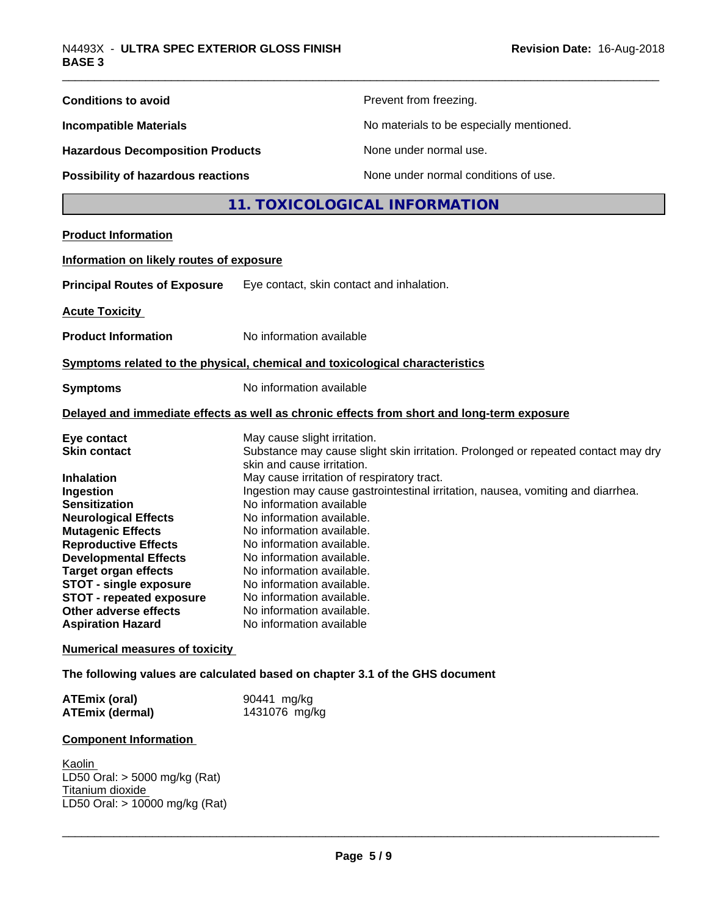| <b>Conditions to avoid</b>                                                                                                                                                                                                                                                                                                                                                                                              |                                                                                                                                                                                                                                                                                                                                                                                                          | Prevent from freezing.                                                                                                                                               |
|-------------------------------------------------------------------------------------------------------------------------------------------------------------------------------------------------------------------------------------------------------------------------------------------------------------------------------------------------------------------------------------------------------------------------|----------------------------------------------------------------------------------------------------------------------------------------------------------------------------------------------------------------------------------------------------------------------------------------------------------------------------------------------------------------------------------------------------------|----------------------------------------------------------------------------------------------------------------------------------------------------------------------|
| <b>Incompatible Materials</b>                                                                                                                                                                                                                                                                                                                                                                                           |                                                                                                                                                                                                                                                                                                                                                                                                          | No materials to be especially mentioned.                                                                                                                             |
| <b>Hazardous Decomposition Products</b>                                                                                                                                                                                                                                                                                                                                                                                 |                                                                                                                                                                                                                                                                                                                                                                                                          | None under normal use.                                                                                                                                               |
| <b>Possibility of hazardous reactions</b>                                                                                                                                                                                                                                                                                                                                                                               |                                                                                                                                                                                                                                                                                                                                                                                                          | None under normal conditions of use.                                                                                                                                 |
|                                                                                                                                                                                                                                                                                                                                                                                                                         |                                                                                                                                                                                                                                                                                                                                                                                                          | 11. TOXICOLOGICAL INFORMATION                                                                                                                                        |
| <b>Product Information</b>                                                                                                                                                                                                                                                                                                                                                                                              |                                                                                                                                                                                                                                                                                                                                                                                                          |                                                                                                                                                                      |
| Information on likely routes of exposure                                                                                                                                                                                                                                                                                                                                                                                |                                                                                                                                                                                                                                                                                                                                                                                                          |                                                                                                                                                                      |
| <b>Principal Routes of Exposure</b>                                                                                                                                                                                                                                                                                                                                                                                     | Eye contact, skin contact and inhalation.                                                                                                                                                                                                                                                                                                                                                                |                                                                                                                                                                      |
| <b>Acute Toxicity</b>                                                                                                                                                                                                                                                                                                                                                                                                   |                                                                                                                                                                                                                                                                                                                                                                                                          |                                                                                                                                                                      |
| <b>Product Information</b>                                                                                                                                                                                                                                                                                                                                                                                              | No information available                                                                                                                                                                                                                                                                                                                                                                                 |                                                                                                                                                                      |
| Symptoms related to the physical, chemical and toxicological characteristics                                                                                                                                                                                                                                                                                                                                            |                                                                                                                                                                                                                                                                                                                                                                                                          |                                                                                                                                                                      |
| <b>Symptoms</b>                                                                                                                                                                                                                                                                                                                                                                                                         | No information available                                                                                                                                                                                                                                                                                                                                                                                 |                                                                                                                                                                      |
|                                                                                                                                                                                                                                                                                                                                                                                                                         |                                                                                                                                                                                                                                                                                                                                                                                                          | Delayed and immediate effects as well as chronic effects from short and long-term exposure                                                                           |
| Eye contact<br><b>Skin contact</b><br><b>Inhalation</b><br>Ingestion<br><b>Sensitization</b><br><b>Neurological Effects</b><br><b>Mutagenic Effects</b><br><b>Reproductive Effects</b><br><b>Developmental Effects</b><br><b>Target organ effects</b><br><b>STOT - single exposure</b><br><b>STOT - repeated exposure</b><br>Other adverse effects<br><b>Aspiration Hazard</b><br><b>Numerical measures of toxicity</b> | May cause slight irritation.<br>skin and cause irritation.<br>May cause irritation of respiratory tract.<br>No information available<br>No information available.<br>No information available.<br>No information available.<br>No information available.<br>No information available.<br>No information available.<br>No information available.<br>No information available.<br>No information available | Substance may cause slight skin irritation. Prolonged or repeated contact may dry<br>Ingestion may cause gastrointestinal irritation, nausea, vomiting and diarrhea. |
| The following values are calculated based on chapter 3.1 of the GHS document                                                                                                                                                                                                                                                                                                                                            |                                                                                                                                                                                                                                                                                                                                                                                                          |                                                                                                                                                                      |
| <b>ATEmix (oral)</b><br><b>ATEmix (dermal)</b>                                                                                                                                                                                                                                                                                                                                                                          | 90441 mg/kg<br>1431076 mg/kg                                                                                                                                                                                                                                                                                                                                                                             |                                                                                                                                                                      |
| <b>Component Information</b>                                                                                                                                                                                                                                                                                                                                                                                            |                                                                                                                                                                                                                                                                                                                                                                                                          |                                                                                                                                                                      |
| Kaolin<br>LD50 Oral: > 5000 mg/kg (Rat)<br>Titanium dioxide<br>LD50 Oral: > 10000 mg/kg (Rat)                                                                                                                                                                                                                                                                                                                           |                                                                                                                                                                                                                                                                                                                                                                                                          |                                                                                                                                                                      |
|                                                                                                                                                                                                                                                                                                                                                                                                                         |                                                                                                                                                                                                                                                                                                                                                                                                          |                                                                                                                                                                      |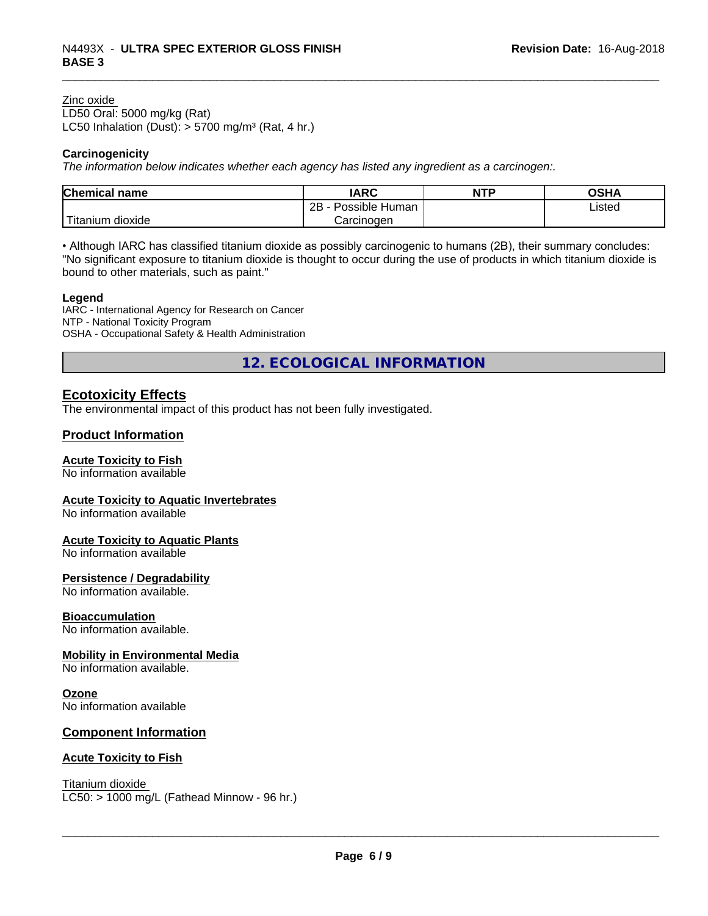#### Zinc oxide

LD50 Oral: 5000 mg/kg (Rat) LC50 Inhalation (Dust):  $> 5700$  mg/m<sup>3</sup> (Rat, 4 hr.)

#### **Carcinogenicity**

*The information below indicateswhether each agency has listed any ingredient as a carcinogen:.*

| <b>Chemical</b><br>name  | <b>IARC</b>                    | <b>NTP</b> | ດເ⊔∧<br>UJNA |
|--------------------------|--------------------------------|------------|--------------|
|                          | . .<br>2B<br>Human<br>Possible |            | Listed       |
| $-1$<br>Fitanium dioxide | Carcinoɑen                     |            |              |

• Although IARC has classified titanium dioxide as possibly carcinogenic to humans (2B), their summary concludes: "No significant exposure to titanium dioxide is thought to occur during the use of products in which titanium dioxide is bound to other materials, such as paint."

#### **Legend**

IARC - International Agency for Research on Cancer NTP - National Toxicity Program OSHA - Occupational Safety & Health Administration

**12. ECOLOGICAL INFORMATION**

## **Ecotoxicity Effects**

The environmental impact of this product has not been fully investigated.

#### **Product Information**

#### **Acute Toxicity to Fish**

No information available

#### **Acute Toxicity to Aquatic Invertebrates**

No information available

#### **Acute Toxicity to Aquatic Plants**

No information available

#### **Persistence / Degradability**

No information available.

#### **Bioaccumulation**

No information available.

#### **Mobility in Environmental Media**

No information available.

#### **Ozone**

No information available

#### **Component Information**

#### **Acute Toxicity to Fish**

Titanium dioxide  $LC50:$  > 1000 mg/L (Fathead Minnow - 96 hr.)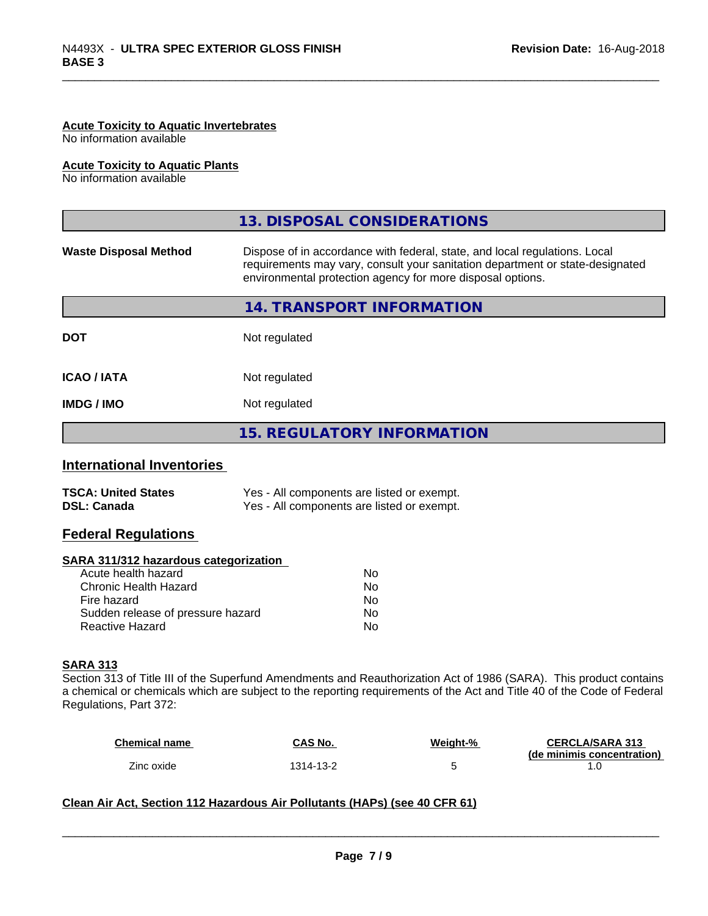#### **Acute Toxicity to Aquatic Invertebrates**

No information available

#### **Acute Toxicity to Aquatic Plants**

No information available

|                              | 13. DISPOSAL CONSIDERATIONS                                                                                                                                                                                               |
|------------------------------|---------------------------------------------------------------------------------------------------------------------------------------------------------------------------------------------------------------------------|
| <b>Waste Disposal Method</b> | Dispose of in accordance with federal, state, and local regulations. Local<br>requirements may vary, consult your sanitation department or state-designated<br>environmental protection agency for more disposal options. |
|                              | 14. TRANSPORT INFORMATION                                                                                                                                                                                                 |
| <b>DOT</b>                   | Not regulated                                                                                                                                                                                                             |
| <b>ICAO/IATA</b>             | Not regulated                                                                                                                                                                                                             |
| <b>IMDG/IMO</b>              | Not regulated                                                                                                                                                                                                             |
|                              | 15. REGULATORY INFORMATION                                                                                                                                                                                                |

#### **International Inventories**

| <b>TSCA: United States</b> | Yes - All components are listed or exempt. |
|----------------------------|--------------------------------------------|
| <b>DSL: Canada</b>         | Yes - All components are listed or exempt. |

### **Federal Regulations**

#### **SARA 311/312 hazardous categorization**

| Acute health hazard               | No. |
|-----------------------------------|-----|
| Chronic Health Hazard             | Nο  |
| Fire hazard                       | N٥  |
| Sudden release of pressure hazard | Nο  |
| Reactive Hazard                   | N٥  |

#### **SARA 313**

Section 313 of Title III of the Superfund Amendments and Reauthorization Act of 1986 (SARA). This product contains a chemical or chemicals which are subject to the reporting requirements of the Act and Title 40 of the Code of Federal Regulations, Part 372:

| <b>Chemical name</b> | CAS No.   | Weight-% | <b>CERCLA/SARA 313</b>     |
|----------------------|-----------|----------|----------------------------|
|                      |           |          | (de minimis concentration) |
| Zinc oxide           | 1314-13-2 |          |                            |

 $\overline{\phantom{a}}$  ,  $\overline{\phantom{a}}$  ,  $\overline{\phantom{a}}$  ,  $\overline{\phantom{a}}$  ,  $\overline{\phantom{a}}$  ,  $\overline{\phantom{a}}$  ,  $\overline{\phantom{a}}$  ,  $\overline{\phantom{a}}$  ,  $\overline{\phantom{a}}$  ,  $\overline{\phantom{a}}$  ,  $\overline{\phantom{a}}$  ,  $\overline{\phantom{a}}$  ,  $\overline{\phantom{a}}$  ,  $\overline{\phantom{a}}$  ,  $\overline{\phantom{a}}$  ,  $\overline{\phantom{a}}$ 

#### **Clean Air Act,Section 112 Hazardous Air Pollutants (HAPs) (see 40 CFR 61)**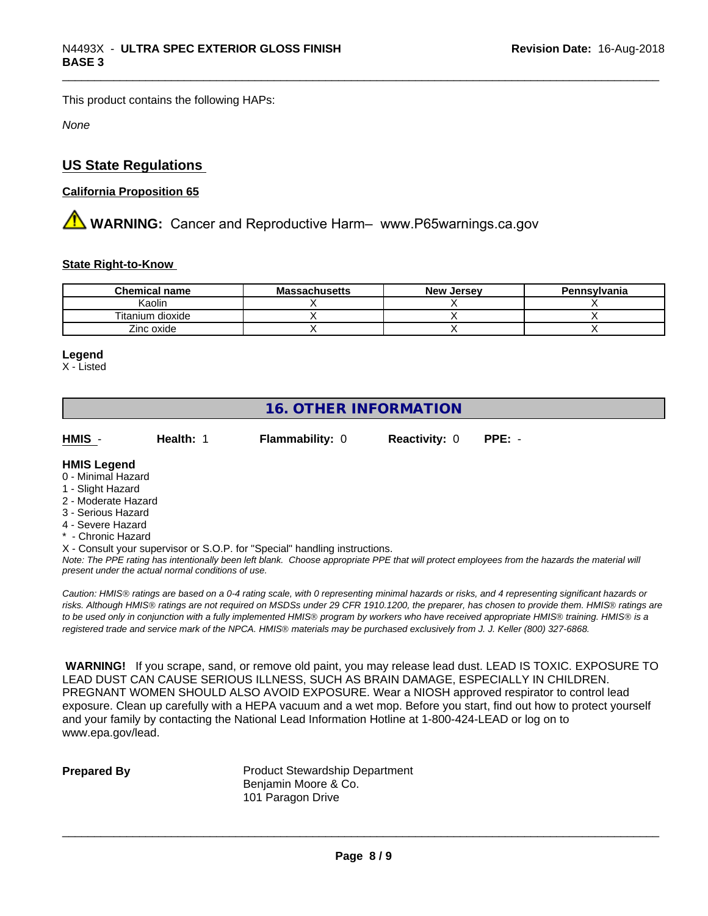This product contains the following HAPs:

*None*

# **US State Regulations**

### **California Proposition 65**

**AN** WARNING: Cancer and Reproductive Harm– www.P65warnings.ca.gov

#### **State Right-to-Know**

| <b>Chemical name</b> | <b>Massachusetts</b> | <b>New Jersey</b> | Pennsylvania |
|----------------------|----------------------|-------------------|--------------|
| Kaolin               |                      |                   |              |
| Titanium dioxide     |                      |                   |              |
| Zinc oxide           |                      |                   |              |

#### **Legend**

X - Listed

# **16. OTHER INFORMATION**

**HMIS** - **Health:** 1 **Flammability:** 0 **Reactivity:** 0 **PPE:** -

#### **HMIS Legend**

- 0 Minimal Hazard
- 1 Slight Hazard
- 2 Moderate Hazard
- 3 Serious Hazard
- 4 Severe Hazard
- \* Chronic Hazard
- X Consult your supervisor or S.O.P. for "Special" handling instructions.

*Note: The PPE rating has intentionally been left blank. Choose appropriate PPE that will protect employees from the hazards the material will present under the actual normal conditions of use.*

*Caution: HMISÒ ratings are based on a 0-4 rating scale, with 0 representing minimal hazards or risks, and 4 representing significant hazards or risks. Although HMISÒ ratings are not required on MSDSs under 29 CFR 1910.1200, the preparer, has chosen to provide them. HMISÒ ratings are to be used only in conjunction with a fully implemented HMISÒ program by workers who have received appropriate HMISÒ training. HMISÒ is a registered trade and service mark of the NPCA. HMISÒ materials may be purchased exclusively from J. J. Keller (800) 327-6868.*

 **WARNING!** If you scrape, sand, or remove old paint, you may release lead dust. LEAD IS TOXIC. EXPOSURE TO LEAD DUST CAN CAUSE SERIOUS ILLNESS, SUCH AS BRAIN DAMAGE, ESPECIALLY IN CHILDREN. PREGNANT WOMEN SHOULD ALSO AVOID EXPOSURE.Wear a NIOSH approved respirator to control lead exposure. Clean up carefully with a HEPA vacuum and a wet mop. Before you start, find out how to protect yourself and your family by contacting the National Lead Information Hotline at 1-800-424-LEAD or log on to www.epa.gov/lead.

**Prepared By** Product Stewardship Department Benjamin Moore & Co. 101 Paragon Drive